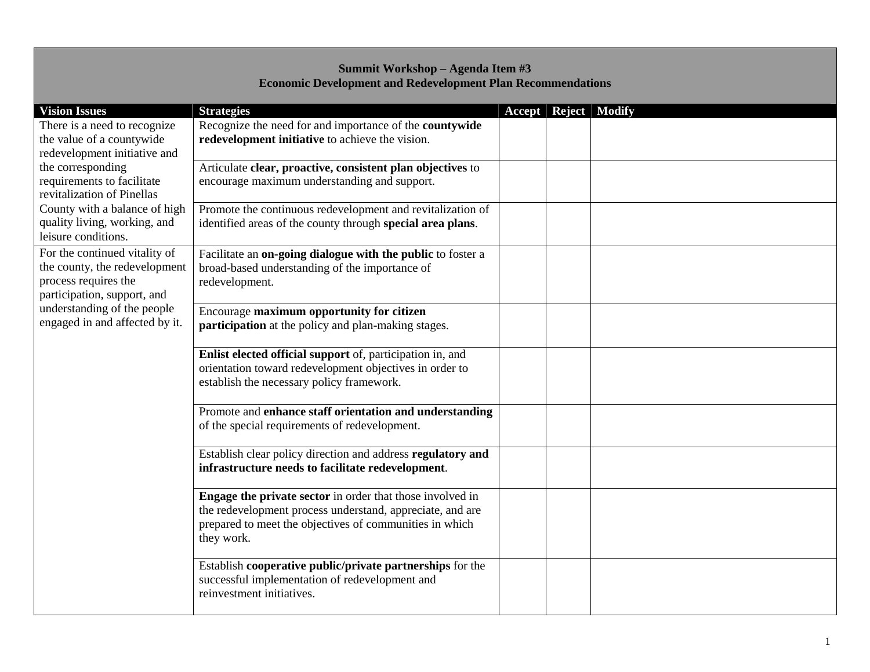## **Summit Workshop – Agenda Item #3 Economic Development and Redevelopment Plan Recommendations**

| <b>Vision Issues</b>           | <b>Strategies</b>                                                     |  | <b>Accept Reject Modify</b> |
|--------------------------------|-----------------------------------------------------------------------|--|-----------------------------|
| There is a need to recognize   | Recognize the need for and importance of the countywide               |  |                             |
| the value of a countywide      | redevelopment initiative to achieve the vision.                       |  |                             |
| redevelopment initiative and   |                                                                       |  |                             |
| the corresponding              | Articulate clear, proactive, consistent plan objectives to            |  |                             |
| requirements to facilitate     | encourage maximum understanding and support.                          |  |                             |
| revitalization of Pinellas     |                                                                       |  |                             |
| County with a balance of high  | Promote the continuous redevelopment and revitalization of            |  |                             |
| quality living, working, and   | identified areas of the county through special area plans.            |  |                             |
| leisure conditions.            |                                                                       |  |                             |
| For the continued vitality of  | Facilitate an on-going dialogue with the public to foster a           |  |                             |
| the county, the redevelopment  | broad-based understanding of the importance of                        |  |                             |
| process requires the           | redevelopment.                                                        |  |                             |
| participation, support, and    |                                                                       |  |                             |
| understanding of the people    | Encourage maximum opportunity for citizen                             |  |                             |
| engaged in and affected by it. | participation at the policy and plan-making stages.                   |  |                             |
|                                |                                                                       |  |                             |
|                                | Enlist elected official support of, participation in, and             |  |                             |
|                                | orientation toward redevelopment objectives in order to               |  |                             |
|                                | establish the necessary policy framework.                             |  |                             |
|                                |                                                                       |  |                             |
|                                | Promote and enhance staff orientation and understanding               |  |                             |
|                                | of the special requirements of redevelopment.                         |  |                             |
|                                |                                                                       |  |                             |
|                                | Establish clear policy direction and address regulatory and           |  |                             |
|                                | infrastructure needs to facilitate redevelopment.                     |  |                             |
|                                |                                                                       |  |                             |
|                                | Engage the private sector in order that those involved in             |  |                             |
|                                | the redevelopment process understand, appreciate, and are             |  |                             |
|                                | prepared to meet the objectives of communities in which<br>they work. |  |                             |
|                                |                                                                       |  |                             |
|                                | Establish cooperative public/private partnerships for the             |  |                             |
|                                | successful implementation of redevelopment and                        |  |                             |
|                                | reinvestment initiatives.                                             |  |                             |
|                                |                                                                       |  |                             |
|                                |                                                                       |  |                             |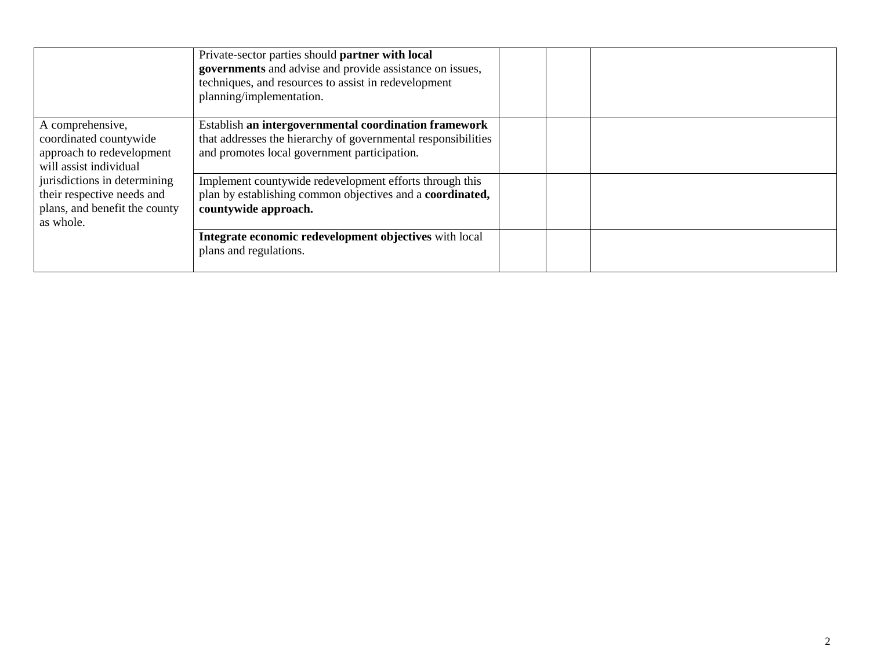|                                                     | Private-sector parties should partner with local<br>governments and advise and provide assistance on issues,<br>techniques, and resources to assist in redevelopment<br>planning/implementation. |  |
|-----------------------------------------------------|--------------------------------------------------------------------------------------------------------------------------------------------------------------------------------------------------|--|
| A comprehensive,                                    | Establish an intergovernmental coordination framework                                                                                                                                            |  |
| coordinated countywide<br>approach to redevelopment | that addresses the hierarchy of governmental responsibilities<br>and promotes local government participation.                                                                                    |  |
| will assist individual                              |                                                                                                                                                                                                  |  |
| jurisdictions in determining                        | Implement countywide redevelopment efforts through this                                                                                                                                          |  |
| their respective needs and                          | plan by establishing common objectives and a coordinated,                                                                                                                                        |  |
| plans, and benefit the county                       | countywide approach.                                                                                                                                                                             |  |
| as whole.                                           |                                                                                                                                                                                                  |  |
|                                                     | Integrate economic redevelopment objectives with local                                                                                                                                           |  |
|                                                     | plans and regulations.                                                                                                                                                                           |  |
|                                                     |                                                                                                                                                                                                  |  |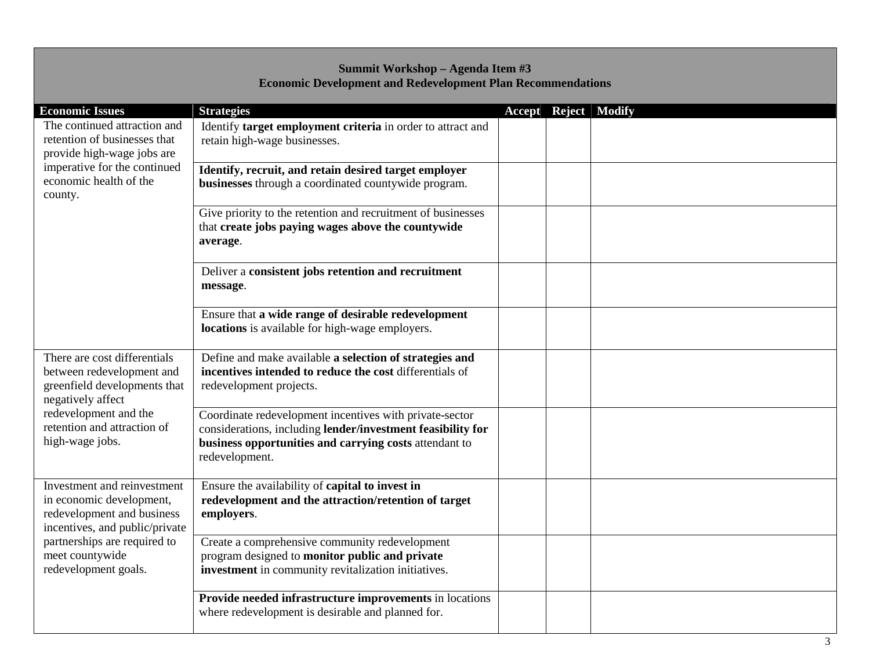## **Summit Workshop – Agenda Item #3 Economic Development and Redevelopment Plan Recommendations**

| <b>Economic Issues</b>                                                                                                                                                                             |                                                                                                                                                                                                    |  |                             |
|----------------------------------------------------------------------------------------------------------------------------------------------------------------------------------------------------|----------------------------------------------------------------------------------------------------------------------------------------------------------------------------------------------------|--|-----------------------------|
| The continued attraction and<br>retention of businesses that<br>provide high-wage jobs are<br>imperative for the continued<br>economic health of the<br>county.                                    | <b>Strategies</b><br>Identify target employment criteria in order to attract and<br>retain high-wage businesses.                                                                                   |  | <b>Accept Reject Modify</b> |
|                                                                                                                                                                                                    | Identify, recruit, and retain desired target employer<br>businesses through a coordinated countywide program.                                                                                      |  |                             |
|                                                                                                                                                                                                    | Give priority to the retention and recruitment of businesses<br>that create jobs paying wages above the countywide<br>average.                                                                     |  |                             |
|                                                                                                                                                                                                    | Deliver a consistent jobs retention and recruitment<br>message.                                                                                                                                    |  |                             |
|                                                                                                                                                                                                    | Ensure that a wide range of desirable redevelopment<br>locations is available for high-wage employers.                                                                                             |  |                             |
| There are cost differentials<br>between redevelopment and<br>greenfield developments that<br>negatively affect<br>redevelopment and the<br>retention and attraction of<br>high-wage jobs.          | Define and make available a selection of strategies and<br>incentives intended to reduce the cost differentials of<br>redevelopment projects.                                                      |  |                             |
|                                                                                                                                                                                                    | Coordinate redevelopment incentives with private-sector<br>considerations, including lender/investment feasibility for<br>business opportunities and carrying costs attendant to<br>redevelopment. |  |                             |
| Investment and reinvestment<br>in economic development,<br>redevelopment and business<br>incentives, and public/private<br>partnerships are required to<br>meet countywide<br>redevelopment goals. | Ensure the availability of capital to invest in<br>redevelopment and the attraction/retention of target<br>employers.                                                                              |  |                             |
|                                                                                                                                                                                                    | Create a comprehensive community redevelopment<br>program designed to monitor public and private<br>investment in community revitalization initiatives.                                            |  |                             |
|                                                                                                                                                                                                    | Provide needed infrastructure improvements in locations<br>where redevelopment is desirable and planned for.                                                                                       |  |                             |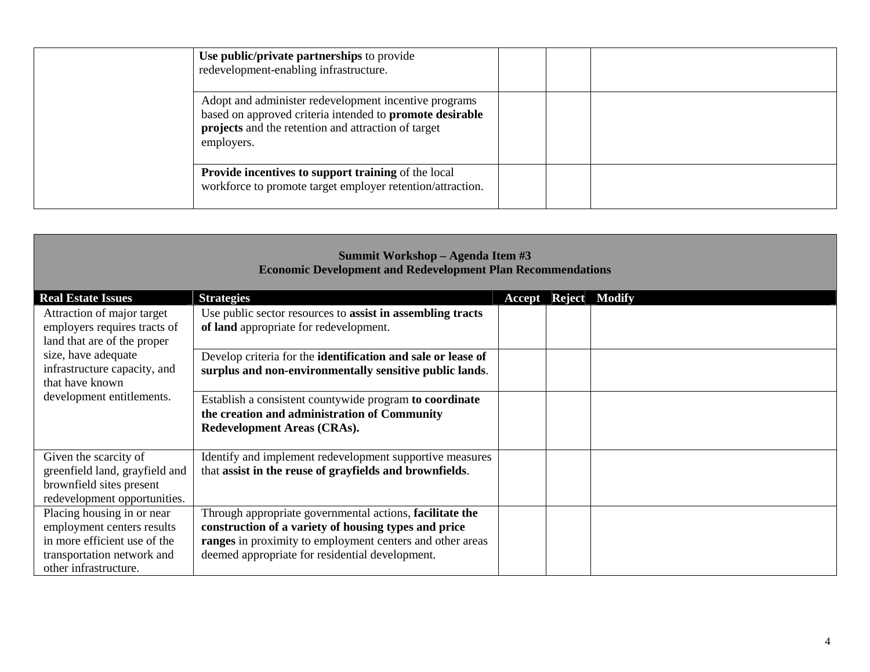| Use public/private partnerships to provide<br>redevelopment-enabling infrastructure.                                                                                                          |
|-----------------------------------------------------------------------------------------------------------------------------------------------------------------------------------------------|
| Adopt and administer redevelopment incentive programs<br>based on approved criteria intended to promote desirable<br><b>projects</b> and the retention and attraction of target<br>employers. |
| <b>Provide incentives to support training of the local</b><br>workforce to promote target employer retention/attraction.                                                                      |

| Summit Workshop - Agenda Item #3<br><b>Economic Development and Redevelopment Plan Recommendations</b>                                          |                                                                                                                                                                                                                                  |  |                             |  |  |
|-------------------------------------------------------------------------------------------------------------------------------------------------|----------------------------------------------------------------------------------------------------------------------------------------------------------------------------------------------------------------------------------|--|-----------------------------|--|--|
| <b>Real Estate Issues</b>                                                                                                                       | <b>Strategies</b>                                                                                                                                                                                                                |  | <b>Accept Reject Modify</b> |  |  |
| Attraction of major target<br>employers requires tracts of<br>land that are of the proper                                                       | Use public sector resources to assist in assembling tracts<br>of land appropriate for redevelopment.                                                                                                                             |  |                             |  |  |
| size, have adequate<br>infrastructure capacity, and<br>that have known<br>development entitlements.                                             | Develop criteria for the identification and sale or lease of<br>surplus and non-environmentally sensitive public lands.                                                                                                          |  |                             |  |  |
|                                                                                                                                                 | Establish a consistent countywide program to coordinate<br>the creation and administration of Community<br>Redevelopment Areas (CRAs).                                                                                           |  |                             |  |  |
| Given the scarcity of<br>greenfield land, grayfield and<br>brownfield sites present<br>redevelopment opportunities.                             | Identify and implement redevelopment supportive measures<br>that assist in the reuse of grayfields and brownfields.                                                                                                              |  |                             |  |  |
| Placing housing in or near<br>employment centers results<br>in more efficient use of the<br>transportation network and<br>other infrastructure. | Through appropriate governmental actions, facilitate the<br>construction of a variety of housing types and price<br>ranges in proximity to employment centers and other areas<br>deemed appropriate for residential development. |  |                             |  |  |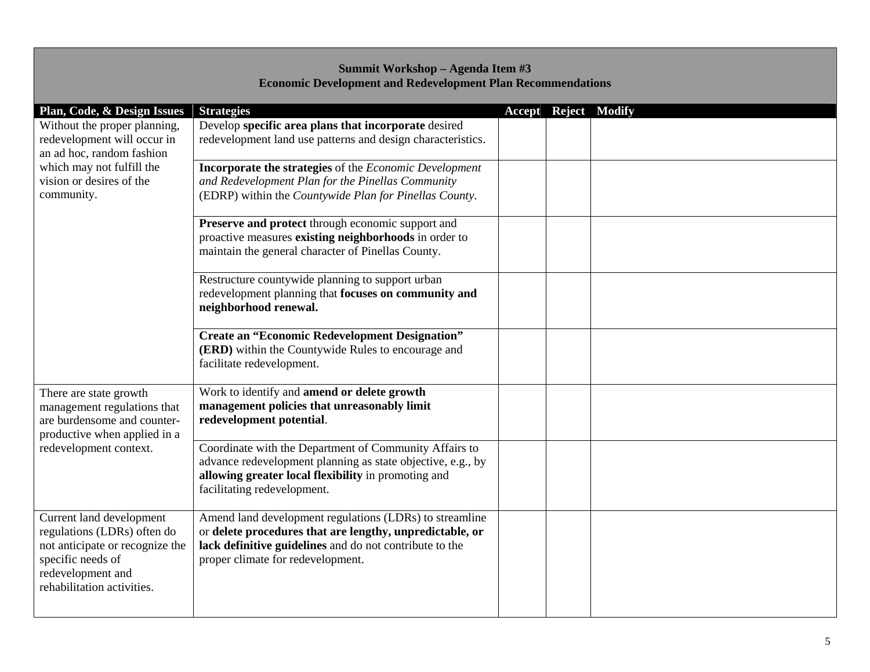## **Summit Workshop – Agenda Item #3 Economic Development and Redevelopment Plan Recommendations**

| Plan, Code, & Design Issues     | <b>Strategies</b>                                           |  | <b>Accept Reject Modify</b> |
|---------------------------------|-------------------------------------------------------------|--|-----------------------------|
| Without the proper planning,    | Develop specific area plans that incorporate desired        |  |                             |
| redevelopment will occur in     | redevelopment land use patterns and design characteristics. |  |                             |
| an ad hoc, random fashion       |                                                             |  |                             |
| which may not fulfill the       | Incorporate the strategies of the Economic Development      |  |                             |
| vision or desires of the        | and Redevelopment Plan for the Pinellas Community           |  |                             |
| community.                      | (EDRP) within the Countywide Plan for Pinellas County.      |  |                             |
|                                 | Preserve and protect through economic support and           |  |                             |
|                                 | proactive measures existing neighborhoods in order to       |  |                             |
|                                 | maintain the general character of Pinellas County.          |  |                             |
|                                 |                                                             |  |                             |
|                                 | Restructure countywide planning to support urban            |  |                             |
|                                 | redevelopment planning that focuses on community and        |  |                             |
|                                 | neighborhood renewal.                                       |  |                             |
|                                 | <b>Create an "Economic Redevelopment Designation"</b>       |  |                             |
|                                 | (ERD) within the Countywide Rules to encourage and          |  |                             |
|                                 | facilitate redevelopment.                                   |  |                             |
|                                 |                                                             |  |                             |
| There are state growth          | Work to identify and amend or delete growth                 |  |                             |
| management regulations that     | management policies that unreasonably limit                 |  |                             |
| are burdensome and counter-     | redevelopment potential.                                    |  |                             |
| productive when applied in a    |                                                             |  |                             |
| redevelopment context.          | Coordinate with the Department of Community Affairs to      |  |                             |
|                                 | advance redevelopment planning as state objective, e.g., by |  |                             |
|                                 | allowing greater local flexibility in promoting and         |  |                             |
|                                 | facilitating redevelopment.                                 |  |                             |
| Current land development        | Amend land development regulations (LDRs) to streamline     |  |                             |
| regulations (LDRs) often do     | or delete procedures that are lengthy, unpredictable, or    |  |                             |
| not anticipate or recognize the | lack definitive guidelines and do not contribute to the     |  |                             |
| specific needs of               | proper climate for redevelopment.                           |  |                             |
| redevelopment and               |                                                             |  |                             |
| rehabilitation activities.      |                                                             |  |                             |
|                                 |                                                             |  |                             |